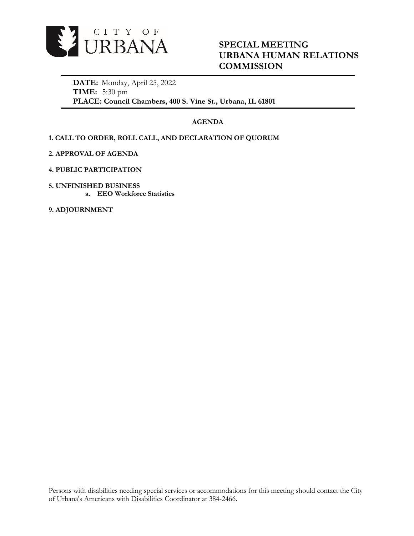

# **SPECIAL MEETING URBANA HUMAN RELATIONS COMMISSION**

**DATE:** Monday, April 25, 2022 **TIME:** 5:30 pm **PLACE: Council Chambers, 400 S. Vine St., Urbana, IL 61801**

## **AGENDA**

# **1. CALL TO ORDER, ROLL CALL, AND DECLARATION OF QUORUM**

- **2. APPROVAL OF AGENDA**
- **4. PUBLIC PARTICIPATION**
- **5. UNFINISHED BUSINESS a. EEO Workforce Statistics**

**9. ADJOURNMENT**